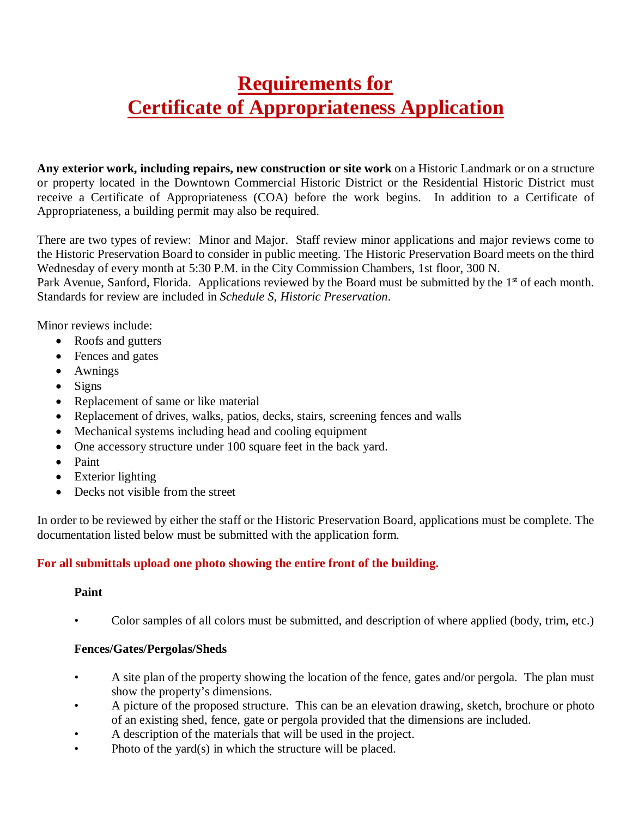# **Requirements for Certificate of Appropriateness Application**

**Any exterior work, including repairs, new construction or site work** on a Historic Landmark or on a structure or property located in the Downtown Commercial Historic District or the Residential Historic District must receive a Certificate of Appropriateness (COA) before the work begins. In addition to a Certificate of Appropriateness, a building permit may also be required.

There are two types of review: Minor and Major. Staff review minor applications and major reviews come to the Historic Preservation Board to consider in public meeting. The Historic Preservation Board meets on the third Wednesday of every month at 5:30 P.M. in the City Commission Chambers, 1st floor, 300 N.

Park Avenue, Sanford, Florida. Applications reviewed by the Board must be submitted by the 1<sup>st</sup> of each month. Standards for review are included in *Schedule S, Historic Preservation*.

Minor reviews include:

- Roofs and gutters
- Fences and gates
- Awnings
- Signs
- Replacement of same or like material
- Replacement of drives, walks, patios, decks, stairs, screening fences and walls
- Mechanical systems including head and cooling equipment
- One accessory structure under 100 square feet in the back yard.
- Paint
- Exterior lighting
- Decks not visible from the street

In order to be reviewed by either the staff or the Historic Preservation Board, applications must be complete. The documentation listed below must be submitted with the application form.

## **For all submittals upload one photo showing the entire front of the building.**

#### **Paint**

• Color samples of all colors must be submitted, and description of where applied (body, trim, etc.)

## **Fences/Gates/Pergolas/Sheds**

- A site plan of the property showing the location of the fence, gates and/or pergola. The plan must show the property's dimensions.
- A picture of the proposed structure. This can be an elevation drawing, sketch, brochure or photo of an existing shed, fence, gate or pergola provided that the dimensions are included.
- A description of the materials that will be used in the project.
- Photo of the yard(s) in which the structure will be placed.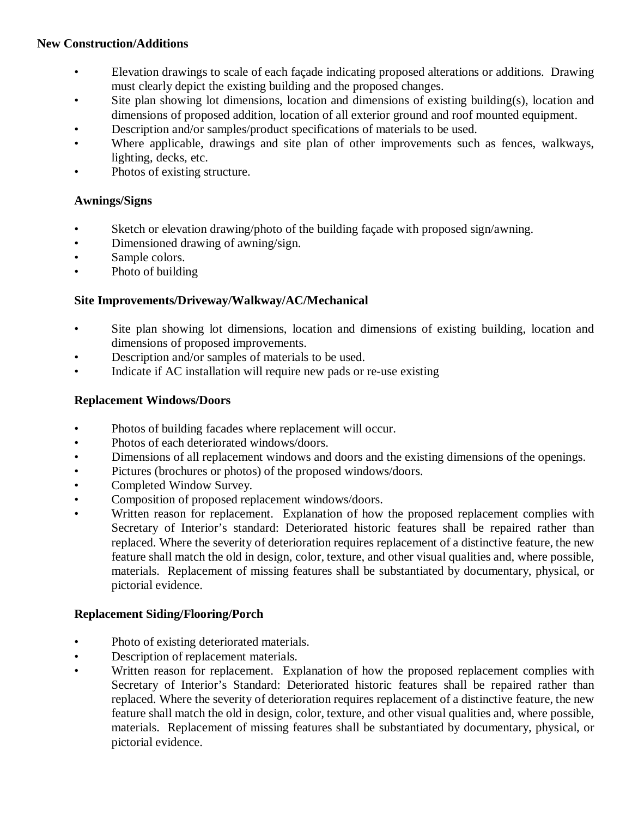## **New Construction/Additions**

- Elevation drawings to scale of each façade indicating proposed alterations or additions. Drawing must clearly depict the existing building and the proposed changes.
- Site plan showing lot dimensions, location and dimensions of existing building(s), location and dimensions of proposed addition, location of all exterior ground and roof mounted equipment.
- Description and/or samples/product specifications of materials to be used.
- Where applicable, drawings and site plan of other improvements such as fences, walkways, lighting, decks, etc.
- Photos of existing structure.

## **Awnings/Signs**

- Sketch or elevation drawing/photo of the building façade with proposed sign/awning.
- Dimensioned drawing of awning/sign.
- Sample colors.
- Photo of building

## **Site Improvements/Driveway/Walkway/AC/Mechanical**

- Site plan showing lot dimensions, location and dimensions of existing building, location and dimensions of proposed improvements.
- Description and/or samples of materials to be used.
- Indicate if AC installation will require new pads or re-use existing

## **Replacement Windows/Doors**

- Photos of building facades where replacement will occur.
- Photos of each deteriorated windows/doors.
- Dimensions of all replacement windows and doors and the existing dimensions of the openings.
- Pictures (brochures or photos) of the proposed windows/doors.
- Completed Window Survey.
- Composition of proposed replacement windows/doors.
- Written reason for replacement. Explanation of how the proposed replacement complies with Secretary of Interior's standard: Deteriorated historic features shall be repaired rather than replaced. Where the severity of deterioration requires replacement of a distinctive feature, the new feature shall match the old in design, color, texture, and other visual qualities and, where possible, materials. Replacement of missing features shall be substantiated by documentary, physical, or pictorial evidence.

## **Replacement Siding/Flooring/Porch**

- Photo of existing deteriorated materials.
- Description of replacement materials.
- Written reason for replacement. Explanation of how the proposed replacement complies with Secretary of Interior's Standard: Deteriorated historic features shall be repaired rather than replaced. Where the severity of deterioration requires replacement of a distinctive feature, the new feature shall match the old in design, color, texture, and other visual qualities and, where possible, materials. Replacement of missing features shall be substantiated by documentary, physical, or pictorial evidence.